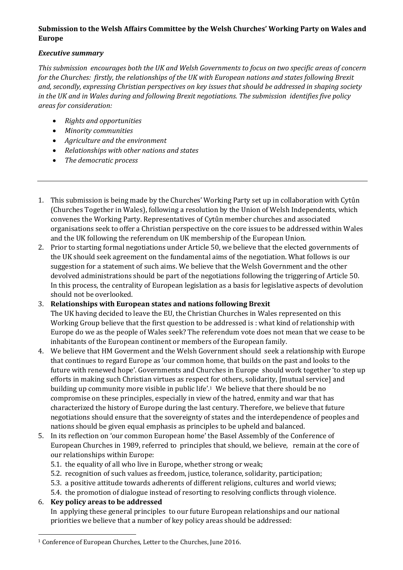## **Submission to the Welsh Affairs Committee by the Welsh Churches' Working Party on Wales and Europe**

## *Executive summary*

*This submission encourages both the UK and Welsh Governments to focus on two specific areas of concern for the Churches: firstly, the relationships of the UK with European nations and states following Brexit and, secondly, expressing Christian perspectives on key issues that should be addressed in shaping society in the UK and in Wales during and following Brexit negotiations. The submission identifies five policy areas for consideration:*

- *Rights and opportunities*
- *Minority communities*
- *Agriculture and the environment*
- *Relationships with other nations and states*
- *The democratic process*
- 1. This submission is being made by the Churches' Working Party set up in collaboration with Cytûn (Churches Together in Wales), following a resolution by the Union of Welsh Independents, which convenes the Working Party. Representatives of Cytûn member churches and associated organisations seek to offer a Christian perspective on the core issues to be addressed within Wales and the UK following the referendum on UK membership of the European Union.
- 2. Prior to starting formal negotiations under Article 50, we believe that the elected governments of the UK should seek agreement on the fundamental aims of the negotiation. What follows is our suggestion for a statement of such aims. We believe that the Welsh Government and the other devolved administrations should be part of the negotiations following the triggering of Article 50. In this process, the centrality of European legislation as a basis for legislative aspects of devolution should not be overlooked.

## 3. **Relationships with European states and nations following Brexit**

The UK having decided to leave the EU, the Christian Churches in Wales represented on this Working Group believe that the first question to be addressed is : what kind of relationship with Europe do we as the people of Wales seek? The referendum vote does not mean that we cease to be inhabitants of the European continent or members of the European family.

- 4. We believe that HM Goverment and the Welsh Government should seek a relationship with Europe that continues to regard Europe as 'our common home, that builds on the past and looks to the future with renewed hope'. Governments and Churches in Europe should work together 'to step up efforts in making such Christian virtues as respect for others, solidarity, [mutual service] and building up community more visible in public life'.1 We believe that there should be no compromise on these principles, especially in view of the hatred, enmity and war that has characterized the history of Europe during the last century. Therefore, we believe that future negotiations should ensure that the sovereignty of states and the interdependence of peoples and nations should be given equal emphasis as principles to be upheld and balanced.
- 5. In its reflection on 'our common European home' the Basel Assembly of the Conference of European Churches in 1989, referred to principles that should, we believe, remain at the core of our relationships within Europe:
	- 5.1. the equality of all who live in Europe, whether strong or weak;
	- 5.2. recognition of such values as freedom, justice, tolerance, solidarity, participation;
	- 5.3. a positive attitude towards adherents of different religions, cultures and world views;
	- 5.4. the promotion of dialogue instead of resorting to resolving conflicts through violence.

## 6. **Key policy areas to be addressed**

In applying these general principles to our future European relationships and our national priorities we believe that a number of key policy areas should be addressed:

l <sup>1</sup> Conference of European Churches, Letter to the Churches, June 2016.